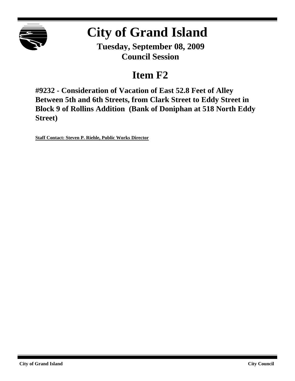

# **City of Grand Island**

**Tuesday, September 08, 2009 Council Session**

## **Item F2**

**#9232 - Consideration of Vacation of East 52.8 Feet of Alley Between 5th and 6th Streets, from Clark Street to Eddy Street in Block 9 of Rollins Addition (Bank of Doniphan at 518 North Eddy Street)**

**Staff Contact: Steven P. Riehle, Public Works Director**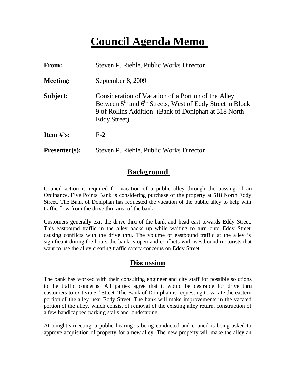# **Council Agenda Memo**

| <b>From:</b>         | Steven P. Riehle, Public Works Director                                                                                                                                                       |
|----------------------|-----------------------------------------------------------------------------------------------------------------------------------------------------------------------------------------------|
| <b>Meeting:</b>      | September 8, 2009                                                                                                                                                                             |
| Subject:             | Consideration of Vacation of a Portion of the Alley<br>Between $5th$ and $6th$ Streets, West of Eddy Street in Block<br>9 of Rollins Addition (Bank of Doniphan at 518 North)<br>Eddy Street) |
| Item $#$ 's:         | $F-2$                                                                                                                                                                                         |
| <b>Presenter(s):</b> | Steven P. Riehle, Public Works Director                                                                                                                                                       |

### **Background**

Council action is required for vacation of a public alley through the passing of an Ordinance. Five Points Bank is considering purchase of the property at 518 North Eddy Street. The Bank of Doniphan has requested the vacation of the public alley to help with traffic flow from the drive thru area of the bank.

Customers generally exit the drive thru of the bank and head east towards Eddy Street. This eastbound traffic in the alley backs up while waiting to turn onto Eddy Street causing conflicts with the drive thru. The volume of eastbound traffic at the alley is significant during the hours the bank is open and conflicts with westbound motorists that want to use the alley creating traffic safety concerns on Eddy Street.

#### **Discussion**

The bank has worked with their consulting engineer and city staff for possible solutions to the traffic concerns. All parties agree that it would be desirable for drive thru customers to exit via  $5<sup>th</sup>$  Street. The Bank of Doniphan is requesting to vacate the eastern portion of the alley near Eddy Street. The bank will make improvements in the vacated portion of the alley, which consist of removal of the existing alley return, construction of a few handicapped parking stalls and landscaping.

At tonight's meeting a public hearing is being conducted and council is being asked to approve acquisition of property for a new alley. The new property will make the alley an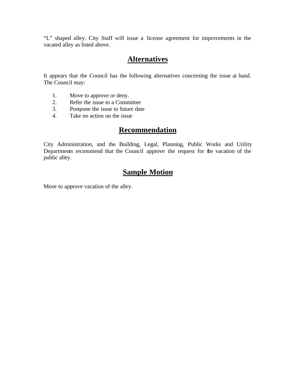"L" shaped alley. City Staff will issue a license agreement for improvements in the vacated alley as listed above.

#### **Alternatives**

It appears that the Council has the following alternatives concerning the issue at hand. The Council may:

- 1. Move to approve or deny.
- 
- 2. Refer the issue to a Committee<br>3. Postpone the issue to future date Postpone the issue to future date
- 4. Take no action on the issue

#### **Recommendation**

City Administration, and the Building, Legal, Planning, Public Works and Utility Departments recommend that the Council approve the request for the vacation of the public alley.

### **Sample Motion**

Move to approve vacation of the alley.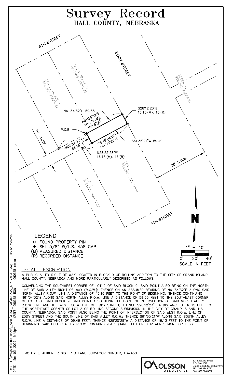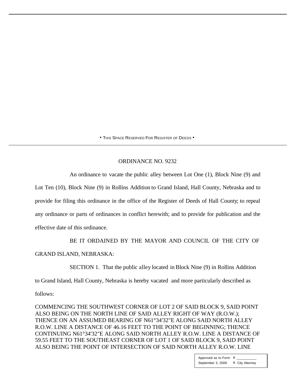• THIS SPACE RESERVED FOR REGISTER OF DEEDS •

#### ORDINANCE NO. 9232

An ordinance to vacate the public alley between Lot One (1), Block Nine (9) and

Lot Ten (10), Block Nine (9) in Rollins Addition to Grand Island, Hall County, Nebraska and to provide for filing this ordinance in the office of the Register of Deeds of Hall County; to repeal any ordinance or parts of ordinances in conflict herewith; and to provide for publication and the effective date of this ordinance.

BE IT ORDAINED BY THE MAYOR AND COUNCIL OF THE CITY OF

GRAND ISLAND, NEBRASKA:

SECTION 1. That the public alley located in Block Nine (9) in Rollins Addition

to Grand Island, Hall County, Nebraska is hereby vacated and more particularly described as

follows:

COMMENCING THE SOUTHWEST CORNER OF LOT 2 OF SAID BLOCK 9, SAID POINT ALSO BEING ON THE NORTH LINE OF SAID ALLEY RIGHT OF WAY (R.O.W.); THENCE ON AN ASSUMED BEARING OF N61°34'32"E ALONG SAID NORTH ALLEY R.O.W. LINE A DISTANCE OF 46.16 FEET TO THE POINT OF BEGINNING; THENCE CONTINUING N61°34'32"E ALONG SAID NORTH ALLEY R.O.W. LINE A DISTANCE OF 59.55 FEET TO THE SOUTHEAST CORNER OF LOT 1 OF SAID BLOCK 9, SAID POINT ALSO BEING THE POINT OF INTERSECTION OF SAID NORTH ALLEY R.O.W. LINE

> Approved as to Form  $\overline{a}$ September 3, 2009 ¤ City Attorney